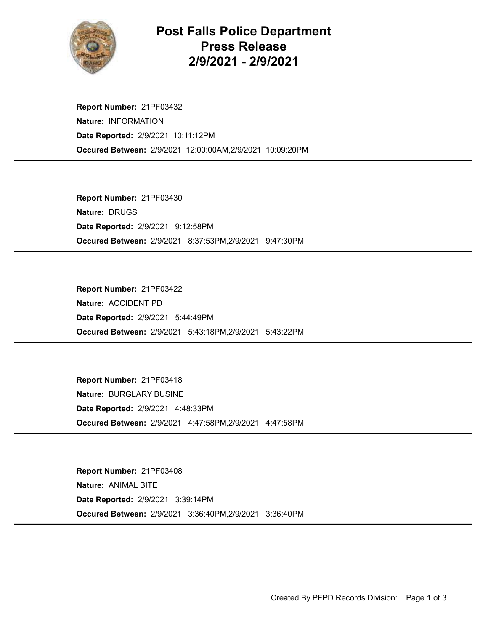

## Post Falls Police Department Press Release 2/9/2021 - 2/9/2021

Occured Between: 2/9/2021 12:00:00AM,2/9/2021 10:09:20PM Report Number: 21PF03432 Nature: INFORMATION Date Reported: 2/9/2021 10:11:12PM

Occured Between: 2/9/2021 8:37:53PM,2/9/2021 9:47:30PM Report Number: 21PF03430 Nature: DRUGS Date Reported: 2/9/2021 9:12:58PM

Occured Between: 2/9/2021 5:43:18PM,2/9/2021 5:43:22PM Report Number: 21PF03422 Nature: ACCIDENT PD Date Reported: 2/9/2021 5:44:49PM

Occured Between: 2/9/2021 4:47:58PM,2/9/2021 4:47:58PM Report Number: 21PF03418 Nature: BURGLARY BUSINE Date Reported: 2/9/2021 4:48:33PM

Occured Between: 2/9/2021 3:36:40PM,2/9/2021 3:36:40PM Report Number: 21PF03408 Nature: ANIMAL BITE Date Reported: 2/9/2021 3:39:14PM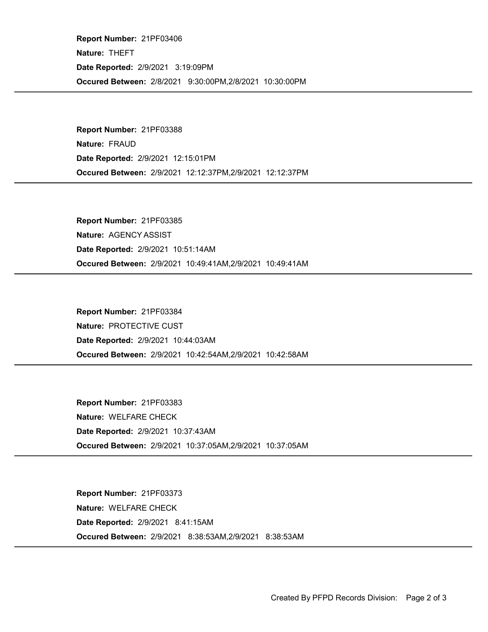Occured Between: 2/8/2021 9:30:00PM,2/8/2021 10:30:00PM Report Number: 21PF03406 Nature: THEFT Date Reported: 2/9/2021 3:19:09PM

Occured Between: 2/9/2021 12:12:37PM,2/9/2021 12:12:37PM Report Number: 21PF03388 Nature: FRAUD Date Reported: 2/9/2021 12:15:01PM

Occured Between: 2/9/2021 10:49:41AM,2/9/2021 10:49:41AM Report Number: 21PF03385 Nature: AGENCY ASSIST Date Reported: 2/9/2021 10:51:14AM

Occured Between: 2/9/2021 10:42:54AM,2/9/2021 10:42:58AM Report Number: 21PF03384 Nature: PROTECTIVE CUST Date Reported: 2/9/2021 10:44:03AM

Occured Between: 2/9/2021 10:37:05AM,2/9/2021 10:37:05AM Report Number: 21PF03383 Nature: WELFARE CHECK Date Reported: 2/9/2021 10:37:43AM

Occured Between: 2/9/2021 8:38:53AM,2/9/2021 8:38:53AM Report Number: 21PF03373 Nature: WELFARE CHECK Date Reported: 2/9/2021 8:41:15AM